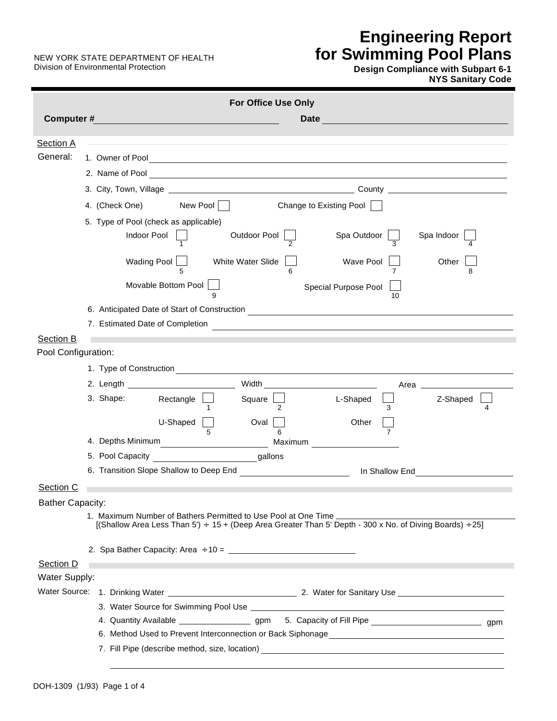## NEW YORK STATE DEPARTMENT OF HEALTH Division of Environmental Protection

## **Engineering Report for Swimming Pool Plans**

**Design Compliance with Subpart 6-1 NYS Sanitary Code**

|                                         | <b>For Office Use Only</b>                                                                                                                                                                                                     |
|-----------------------------------------|--------------------------------------------------------------------------------------------------------------------------------------------------------------------------------------------------------------------------------|
| Computer#                               | Date Part of the Contract of the Contract of the Contract of the Contract of the Contract of the Contract of the Contract of the Contract of the Contract of the Contract of the Contract of the Contract of the Contract of t |
|                                         |                                                                                                                                                                                                                                |
| <b>Section A</b><br>General:            |                                                                                                                                                                                                                                |
|                                         | 1. Owner of Pool <b>contained a contained a contact of Pool</b>                                                                                                                                                                |
|                                         |                                                                                                                                                                                                                                |
|                                         | 4. (Check One) New Pool                                                                                                                                                                                                        |
|                                         | Change to Existing Pool                                                                                                                                                                                                        |
|                                         | 5. Type of Pool (check as applicable)<br>Outdoor Pool<br>Indoor Pool<br>Spa Outdoor<br>Spa Indoor                                                                                                                              |
|                                         | Wading Pool<br>White Water Slide<br>Wave Pool<br>Other<br>6<br>8                                                                                                                                                               |
|                                         | Movable Bottom Pool<br>Special Purpose Pool<br>10                                                                                                                                                                              |
|                                         |                                                                                                                                                                                                                                |
|                                         | 7. Estimated Date of Completion <b>Completion Completion Completion</b>                                                                                                                                                        |
| <b>Section B</b><br>Pool Configuration: |                                                                                                                                                                                                                                |
|                                         |                                                                                                                                                                                                                                |
|                                         | 2. Length entries and the state of the state of the state of the state of the state of the state of the state of the state of the state of the state of the state of the state of the state of the state of the state of the s |
|                                         | 3. Shape:<br>Square L<br>Rectangle [<br>L-Shaped<br>Z-Shaped                                                                                                                                                                   |
|                                         |                                                                                                                                                                                                                                |
|                                         | U-Shaped<br>Oval<br>Other<br>5<br>6<br>$\overline{7}$                                                                                                                                                                          |
|                                         | <b>Maximum Maximum</b>                                                                                                                                                                                                         |
|                                         | 5. Pool Capacity ___________________________gallons                                                                                                                                                                            |
|                                         | 6. Transition Slope Shallow to Deep End __________________________________ In Shallow End_                                                                                                                                     |
| Section C                               |                                                                                                                                                                                                                                |
| <b>Bather Capacity:</b>                 |                                                                                                                                                                                                                                |
|                                         | 1. Maximum Number of Bathers Permitted to Use Pool at One Time _________________<br>[(Shallow Area Less Than 5') ÷ 15 + (Deep Area Greater Than 5' Depth - 300 x No. of Diving Boards) ÷ 25]                                   |
|                                         |                                                                                                                                                                                                                                |
| Section D                               |                                                                                                                                                                                                                                |
| Water Supply:                           |                                                                                                                                                                                                                                |
|                                         |                                                                                                                                                                                                                                |
|                                         |                                                                                                                                                                                                                                |
|                                         |                                                                                                                                                                                                                                |
|                                         |                                                                                                                                                                                                                                |
|                                         |                                                                                                                                                                                                                                |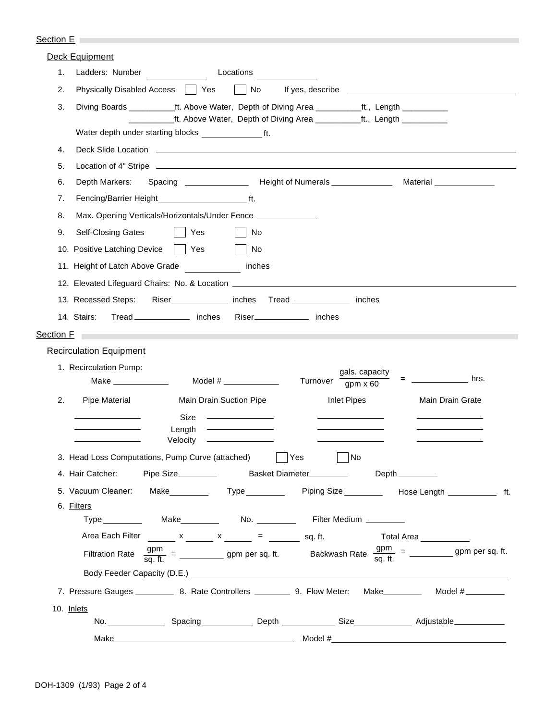## Section E

| <b>Section E</b> |                                                                                                                                    |
|------------------|------------------------------------------------------------------------------------------------------------------------------------|
|                  | Deck Equipment                                                                                                                     |
| 1.               | Ladders: Number<br>Locations                                                                                                       |
| 2.               | Physically Disabled Access<br>Yes<br>No                                                                                            |
| 3.               | Diving Boards ___________ft. Above Water, Depth of Diving Area ___________ft., Length __________                                   |
|                  | ___________ft. Above Water, Depth of Diving Area ___________ft., Length _________                                                  |
|                  | Water depth under starting blocks ft.                                                                                              |
| 4.               |                                                                                                                                    |
| 5.               |                                                                                                                                    |
| 6.               | Depth Markers:                                                                                                                     |
| 7.               |                                                                                                                                    |
| 8.               | Max. Opening Verticals/Horizontals/Under Fence ________________                                                                    |
| 9.               | Self-Closing Gates<br>Yes<br>No                                                                                                    |
|                  | 10. Positive Latching Device     Yes<br>No.                                                                                        |
|                  | 11. Height of Latch Above Grade<br>inches                                                                                          |
|                  | 12. Elevated Lifeguard Chairs: No. & Location <b>Election Act and Street Act and Street Act and Street Act and Street</b>          |
|                  | Riser  ________________ inches Tread ______________ inches<br>13. Recessed Steps:                                                  |
|                  | Tread ______________ inches<br>Riser <sub>_________________</sub> inches<br>14. Stairs:                                            |
| Section F        |                                                                                                                                    |
|                  | <b>Recirculation Equipment</b>                                                                                                     |
|                  | 1. Recirculation Pump:                                                                                                             |
|                  | gals. capacity<br>hrs.<br>Make $\_\_$<br>Turnover<br>$gpm \times 60$                                                               |
| 2.               | <b>Inlet Pipes</b><br>Pipe Material<br>Main Drain Suction Pipe<br>Main Drain Grate                                                 |
|                  | Size                                                                                                                               |
|                  | <u> 1989 - Johann Barn, mars and de Branch Barn, mars and de Branch Barn, mars and de Branch Barn, mars and de Br</u><br>Length    |
|                  | Velocity                                                                                                                           |
|                  | 3. Head Loss Computations, Pump Curve (attached)<br>$ $ Yes<br>No                                                                  |
|                  | 4. Hair Catcher: Pipe Size _________ Basket Diameter _________ Depth _______                                                       |
|                  | 5. Vacuum Cleaner:<br>Make__________  Type___________  Piping Size__________  Hose Length _____________ ft.                        |
|                  | 6. Filters                                                                                                                         |
|                  | Type __________  Make__________  No. __________  Filter Medium __________                                                          |
|                  | Area Each Filter $\frac{x}{1-x}$ $\frac{x}{1-x}$ = $\frac{1}{x}$ sq. ft. Total Area                                                |
|                  |                                                                                                                                    |
|                  |                                                                                                                                    |
|                  | 7. Pressure Gauges ___________ 8. Rate Controllers __________ 9. Flow Meter: Make_________<br>Model # $\_\_\_\_\_\_\_\_\_\_\_\_\_$ |
| 10. Inlets       |                                                                                                                                    |
|                  |                                                                                                                                    |
|                  |                                                                                                                                    |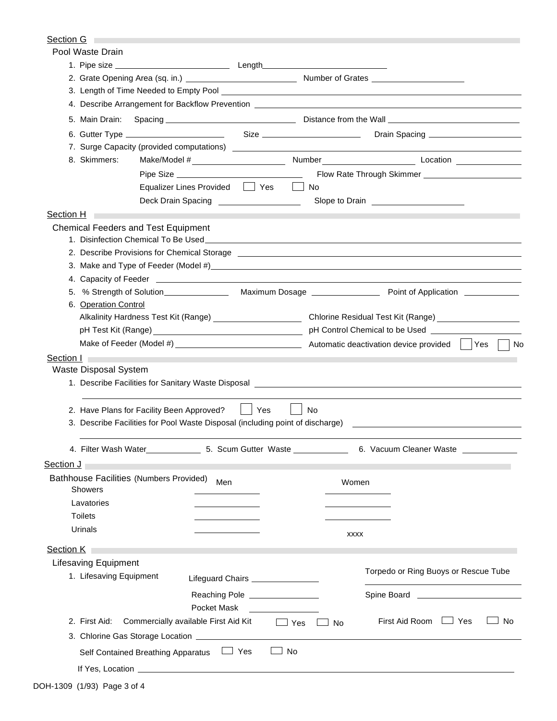## Section G

|                  | Pool Waste Drain                           |                                                                               |                                    |                      |       |             |                                                                                                                                                                                                                                      |             |
|------------------|--------------------------------------------|-------------------------------------------------------------------------------|------------------------------------|----------------------|-------|-------------|--------------------------------------------------------------------------------------------------------------------------------------------------------------------------------------------------------------------------------------|-------------|
|                  |                                            |                                                                               |                                    |                      |       |             |                                                                                                                                                                                                                                      |             |
|                  |                                            |                                                                               |                                    |                      |       |             |                                                                                                                                                                                                                                      |             |
|                  |                                            |                                                                               |                                    |                      |       |             |                                                                                                                                                                                                                                      |             |
|                  |                                            |                                                                               |                                    |                      |       |             | 4. Describe Arrangement for Backflow Prevention <b>contract the contract of the contract of the contract of the contract of the contract of the contract of the contract of the contract of the contract of the contract of the </b> |             |
|                  | 5. Main Drain:                             |                                                                               |                                    |                      |       |             |                                                                                                                                                                                                                                      |             |
|                  |                                            |                                                                               |                                    |                      |       |             |                                                                                                                                                                                                                                      |             |
|                  |                                            |                                                                               |                                    |                      |       |             |                                                                                                                                                                                                                                      |             |
|                  | 8. Skimmers:                               |                                                                               |                                    |                      |       |             |                                                                                                                                                                                                                                      |             |
|                  |                                            | Pipe Size ___________________________________                                 |                                    |                      |       |             |                                                                                                                                                                                                                                      |             |
|                  |                                            | Equalizer Lines Provided   Yes   No                                           |                                    |                      |       |             |                                                                                                                                                                                                                                      |             |
|                  |                                            | Deck Drain Spacing <b>contain the Spacing Container and Spacing Container</b> |                                    |                      |       |             | Slope to Drain <u>substance</u>                                                                                                                                                                                                      |             |
| Section H        |                                            |                                                                               |                                    |                      |       |             |                                                                                                                                                                                                                                      |             |
|                  | <b>Chemical Feeders and Test Equipment</b> |                                                                               |                                    |                      |       |             |                                                                                                                                                                                                                                      |             |
|                  |                                            |                                                                               |                                    |                      |       |             |                                                                                                                                                                                                                                      |             |
|                  |                                            |                                                                               |                                    |                      |       |             |                                                                                                                                                                                                                                      |             |
|                  |                                            |                                                                               |                                    |                      |       |             |                                                                                                                                                                                                                                      |             |
|                  |                                            |                                                                               |                                    |                      |       |             |                                                                                                                                                                                                                                      |             |
| 5.               |                                            |                                                                               |                                    |                      |       |             | % Strength of Solution Maximum Dosage Maximum Dosage Point of Application Maximum Dosage Point of Application                                                                                                                        |             |
|                  | 6. Operation Control                       |                                                                               |                                    |                      |       |             |                                                                                                                                                                                                                                      |             |
|                  |                                            |                                                                               |                                    |                      |       |             |                                                                                                                                                                                                                                      |             |
|                  |                                            |                                                                               |                                    |                      |       |             |                                                                                                                                                                                                                                      |             |
|                  |                                            |                                                                               |                                    |                      |       |             |                                                                                                                                                                                                                                      | Yes I<br>No |
| Section I        |                                            |                                                                               |                                    |                      |       |             |                                                                                                                                                                                                                                      |             |
|                  | Waste Disposal System                      |                                                                               |                                    |                      |       |             |                                                                                                                                                                                                                                      |             |
|                  |                                            |                                                                               |                                    |                      |       |             |                                                                                                                                                                                                                                      |             |
|                  | 2. Have Plans for Facility Been Approved?  |                                                                               |                                    | Yes                  |       | <b>No</b>   |                                                                                                                                                                                                                                      |             |
|                  |                                            |                                                                               |                                    |                      |       |             | 3. Describe Facilities for Pool Waste Disposal (including point of discharge) ______________________                                                                                                                                 |             |
|                  |                                            |                                                                               |                                    |                      |       |             |                                                                                                                                                                                                                                      |             |
|                  | 4. Filter Wash Water_                      |                                                                               |                                    | 5. Scum Gutter Waste |       |             | 6. Vacuum Cleaner Waste                                                                                                                                                                                                              |             |
| <u>Section J</u> |                                            |                                                                               |                                    |                      |       |             |                                                                                                                                                                                                                                      |             |
|                  | Bathhouse Facilities (Numbers Provided)    |                                                                               | Men                                |                      |       |             |                                                                                                                                                                                                                                      |             |
|                  | Showers                                    |                                                                               |                                    |                      |       | Women       |                                                                                                                                                                                                                                      |             |
|                  | Lavatories                                 |                                                                               |                                    |                      |       |             |                                                                                                                                                                                                                                      |             |
|                  | <b>Toilets</b>                             |                                                                               |                                    |                      |       |             |                                                                                                                                                                                                                                      |             |
|                  | Urinals                                    |                                                                               |                                    |                      |       | <b>XXXX</b> |                                                                                                                                                                                                                                      |             |
| Section K        |                                            |                                                                               |                                    |                      |       |             |                                                                                                                                                                                                                                      |             |
|                  | <b>Lifesaving Equipment</b>                |                                                                               |                                    |                      |       |             |                                                                                                                                                                                                                                      |             |
|                  | 1. Lifesaving Equipment                    |                                                                               |                                    |                      |       |             | Torpedo or Ring Buoys or Rescue Tube                                                                                                                                                                                                 |             |
|                  |                                            |                                                                               | Lifeguard Chairs _________________ |                      |       |             |                                                                                                                                                                                                                                      |             |
|                  |                                            |                                                                               | Reaching Pole _______________      |                      |       |             |                                                                                                                                                                                                                                      |             |
|                  |                                            |                                                                               | Pocket Mask                        |                      |       |             |                                                                                                                                                                                                                                      |             |
|                  | 2. First Aid:                              | Commercially available First Aid Kit                                          |                                    |                      | J Yes | No          | First Aid Room<br>⊿ Yes                                                                                                                                                                                                              | No.         |
|                  | 3. Chlorine Gas Storage Location _______   |                                                                               |                                    |                      |       |             |                                                                                                                                                                                                                                      |             |
|                  | Self Contained Breathing Apparatus         |                                                                               |                                    | $\Box$ Yes           | No    |             |                                                                                                                                                                                                                                      |             |
|                  |                                            |                                                                               |                                    |                      |       |             |                                                                                                                                                                                                                                      |             |
|                  |                                            |                                                                               |                                    |                      |       |             |                                                                                                                                                                                                                                      |             |